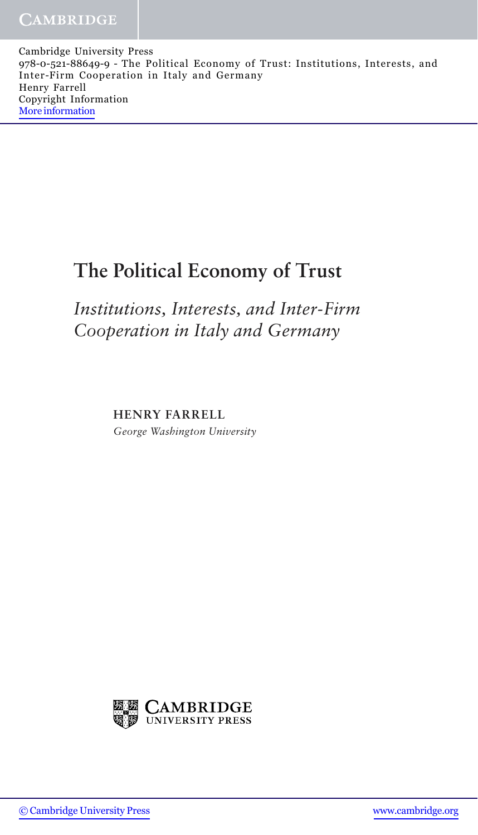Cambridge University Press 978-0-521-88649-9 - The Political Economy of Trust: Institutions, Interests, and Inter-Firm Cooperation in Italy and Germany Henry Farrell Copyright Information [More information](http://www.cambridge.org/9780521886499)

## **The Political Economy of Trust**

*Institutions, Interests, and Inter-Firm Cooperation in Italy and Germany*

**HENRY FARRELL**

*George Washington University*